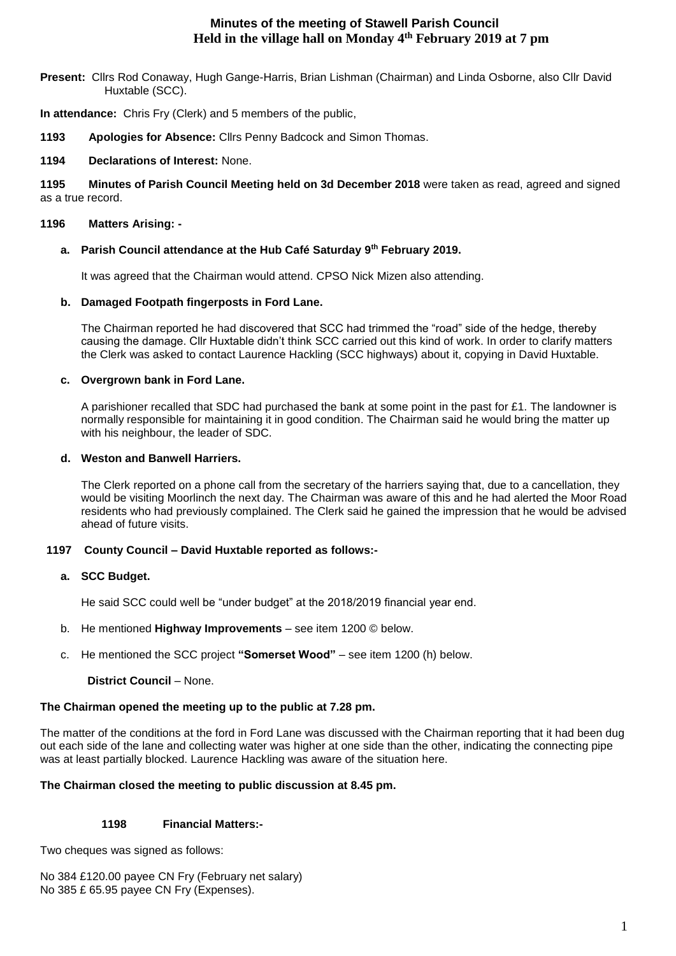# **Minutes of the meeting of Stawell Parish Council Held in the village hall on Monday 4th February 2019 at 7 pm**

**Present:** Cllrs Rod Conaway, Hugh Gange-Harris, Brian Lishman (Chairman) and Linda Osborne, also Cllr David Huxtable (SCC).

**In attendance:** Chris Fry (Clerk) and 5 members of the public,

**1193 Apologies for Absence:** Cllrs Penny Badcock and Simon Thomas.

## **1194 Declarations of Interest:** None.

**1195 Minutes of Parish Council Meeting held on 3d December 2018** were taken as read, agreed and signed as a true record.

## **1196 Matters Arising: -**

## **a. Parish Council attendance at the Hub Café Saturday 9th February 2019.**

It was agreed that the Chairman would attend. CPSO Nick Mizen also attending.

## **b. Damaged Footpath fingerposts in Ford Lane.**

The Chairman reported he had discovered that SCC had trimmed the "road" side of the hedge, thereby causing the damage. Cllr Huxtable didn't think SCC carried out this kind of work. In order to clarify matters the Clerk was asked to contact Laurence Hackling (SCC highways) about it, copying in David Huxtable.

## **c. Overgrown bank in Ford Lane.**

A parishioner recalled that SDC had purchased the bank at some point in the past for £1. The landowner is normally responsible for maintaining it in good condition. The Chairman said he would bring the matter up with his neighbour, the leader of SDC.

### **d. Weston and Banwell Harriers.**

The Clerk reported on a phone call from the secretary of the harriers saying that, due to a cancellation, they would be visiting Moorlinch the next day. The Chairman was aware of this and he had alerted the Moor Road residents who had previously complained. The Clerk said he gained the impression that he would be advised ahead of future visits.

## **1197 County Council – David Huxtable reported as follows:-**

#### **a. SCC Budget.**

He said SCC could well be "under budget" at the 2018/2019 financial year end.

- b. He mentioned **Highway Improvements** see item 1200 © below.
- c. He mentioned the SCC project **"Somerset Wood"** see item 1200 (h) below.

## **District Council** – None.

# **The Chairman opened the meeting up to the public at 7.28 pm.**

The matter of the conditions at the ford in Ford Lane was discussed with the Chairman reporting that it had been dug out each side of the lane and collecting water was higher at one side than the other, indicating the connecting pipe was at least partially blocked. Laurence Hackling was aware of the situation here.

# **The Chairman closed the meeting to public discussion at 8.45 pm.**

# **1198 Financial Matters:-**

Two cheques was signed as follows:

No 384 £120.00 payee CN Fry (February net salary) No 385 £ 65.95 payee CN Fry (Expenses).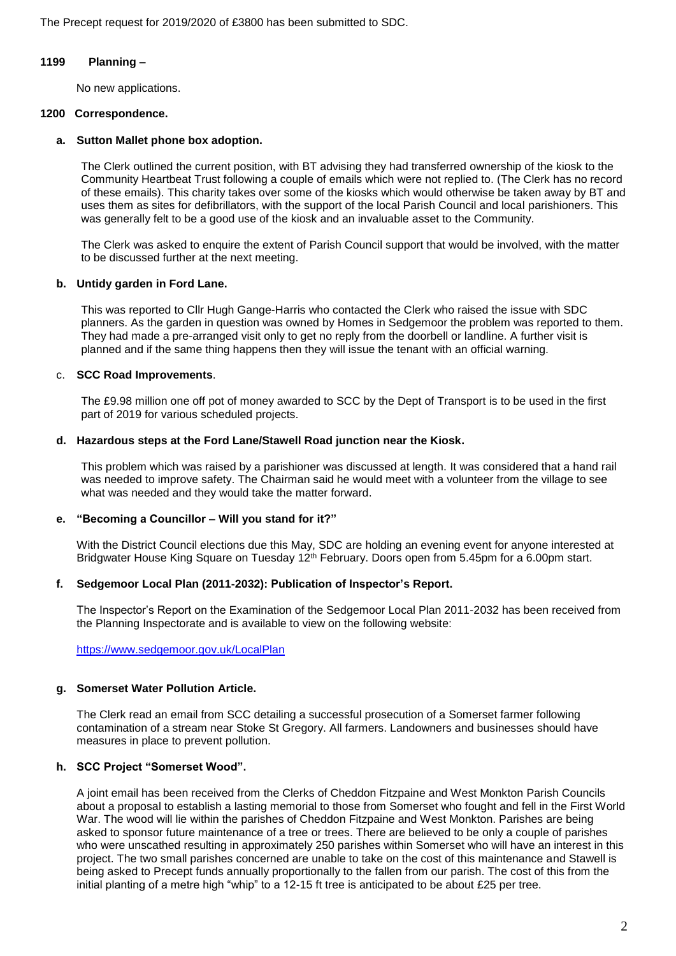The Precept request for 2019/2020 of £3800 has been submitted to SDC.

#### **1199 Planning –**

No new applications.

### **1200 Correspondence.**

### **a. Sutton Mallet phone box adoption.**

The Clerk outlined the current position, with BT advising they had transferred ownership of the kiosk to the Community Heartbeat Trust following a couple of emails which were not replied to. (The Clerk has no record of these emails). This charity takes over some of the kiosks which would otherwise be taken away by BT and uses them as sites for defibrillators, with the support of the local Parish Council and local parishioners. This was generally felt to be a good use of the kiosk and an invaluable asset to the Community.

The Clerk was asked to enquire the extent of Parish Council support that would be involved, with the matter to be discussed further at the next meeting.

### **b. Untidy garden in Ford Lane.**

This was reported to Cllr Hugh Gange-Harris who contacted the Clerk who raised the issue with SDC planners. As the garden in question was owned by Homes in Sedgemoor the problem was reported to them. They had made a pre-arranged visit only to get no reply from the doorbell or landline. A further visit is planned and if the same thing happens then they will issue the tenant with an official warning.

## c. **SCC Road Improvements**.

The £9.98 million one off pot of money awarded to SCC by the Dept of Transport is to be used in the first part of 2019 for various scheduled projects.

## **d. Hazardous steps at the Ford Lane/Stawell Road junction near the Kiosk.**

This problem which was raised by a parishioner was discussed at length. It was considered that a hand rail was needed to improve safety. The Chairman said he would meet with a volunteer from the village to see what was needed and they would take the matter forward.

#### **e. "Becoming a Councillor – Will you stand for it?"**

With the District Council elections due this May, SDC are holding an evening event for anyone interested at Bridgwater House King Square on Tuesday 12<sup>th</sup> February. Doors open from 5.45pm for a 6.00pm start.

## **f. Sedgemoor Local Plan (2011-2032): Publication of Inspector's Report.**

The Inspector's Report on the Examination of the Sedgemoor Local Plan 2011-2032 has been received from the Planning Inspectorate and is available to view on the following website:

<https://www.sedgemoor.gov.uk/LocalPlan>

## **g. Somerset Water Pollution Article.**

The Clerk read an email from SCC detailing a successful prosecution of a Somerset farmer following contamination of a stream near Stoke St Gregory. All farmers. Landowners and businesses should have measures in place to prevent pollution.

## **h. SCC Project "Somerset Wood".**

A joint email has been received from the Clerks of Cheddon Fitzpaine and West Monkton Parish Councils about a proposal to establish a lasting memorial to those from Somerset who fought and fell in the First World War. The wood will lie within the parishes of Cheddon Fitzpaine and West Monkton. Parishes are being asked to sponsor future maintenance of a tree or trees. There are believed to be only a couple of parishes who were unscathed resulting in approximately 250 parishes within Somerset who will have an interest in this project. The two small parishes concerned are unable to take on the cost of this maintenance and Stawell is being asked to Precept funds annually proportionally to the fallen from our parish. The cost of this from the initial planting of a metre high "whip" to a 12-15 ft tree is anticipated to be about £25 per tree.